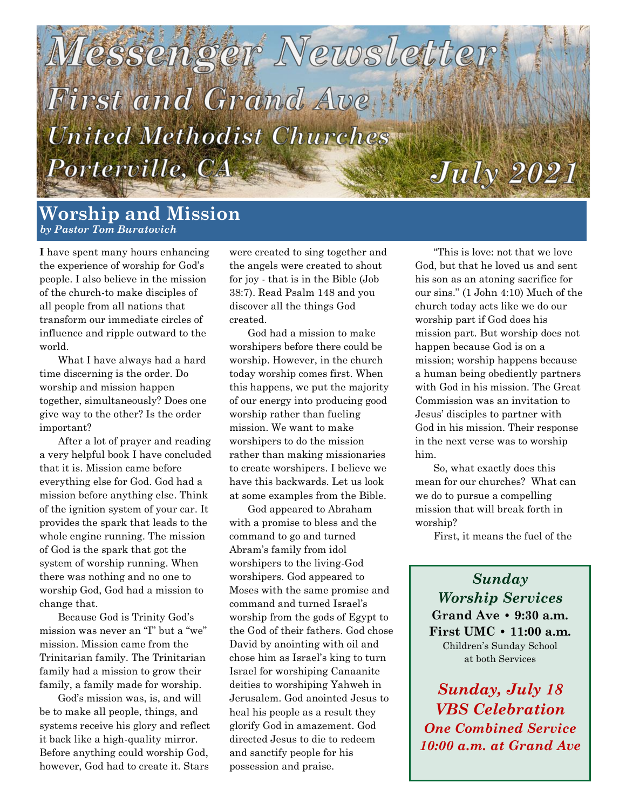

## **Worship and Mission** *by Pastor Tom Buratovich*

**I** have spent many hours enhancing the experience of worship for God's people. I also believe in the mission of the church-to make disciples of all people from all nations that transform our immediate circles of influence and ripple outward to the world.

What I have always had a hard time discerning is the order. Do worship and mission happen together, simultaneously? Does one give way to the other? Is the order important?

After a lot of prayer and reading a very helpful book I have concluded that it is. Mission came before everything else for God. God had a mission before anything else. Think of the ignition system of your car. It provides the spark that leads to the whole engine running. The mission of God is the spark that got the system of worship running. When there was nothing and no one to worship God, God had a mission to change that.

Because God is Trinity God's mission was never an "I" but a "we" mission. Mission came from the Trinitarian family. The Trinitarian family had a mission to grow their family, a family made for worship.

God's mission was, is, and will be to make all people, things, and systems receive his glory and reflect it back like a high-quality mirror. Before anything could worship God, however, God had to create it. Stars

were created to sing together and the angels were created to shout for joy - that is in the Bible (Job 38:7). Read Psalm 148 and you discover all the things God created.

God had a mission to make worshipers before there could be worship. However, in the church today worship comes first. When this happens, we put the majority of our energy into producing good worship rather than fueling mission. We want to make worshipers to do the mission rather than making missionaries to create worshipers. I believe we have this backwards. Let us look at some examples from the Bible.

God appeared to Abraham with a promise to bless and the command to go and turned Abram's family from idol worshipers to the living-God worshipers. God appeared to Moses with the same promise and command and turned Israel's worship from the gods of Egypt to the God of their fathers. God chose David by anointing with oil and chose him as Israel's king to turn Israel for worshiping Canaanite deities to worshiping Yahweh in Jerusalem. God anointed Jesus to heal his people as a result they glorify God in amazement. God directed Jesus to die to redeem and sanctify people for his possession and praise.

"This is love: not that we love God, but that he loved us and sent his son as an atoning sacrifice for our sins." (1 John 4:10) Much of the church today acts like we do our worship part if God does his mission part. But worship does not happen because God is on a mission; worship happens because a human being obediently partners with God in his mission. The Great Commission was an invitation to Jesus' disciples to partner with God in his mission. Their response in the next verse was to worship him.

So, what exactly does this mean for our churches? What can we do to pursue a compelling mission that will break forth in worship?

First, it means the fuel of the

*Sunday Worship Services* **Grand Ave • 9:30 a.m. First UMC • 11:00 a.m.**  Children's Sunday School at both Services

*Sunday, July 18 VBS Celebration One Combined Service 10:00 a.m. at Grand Ave*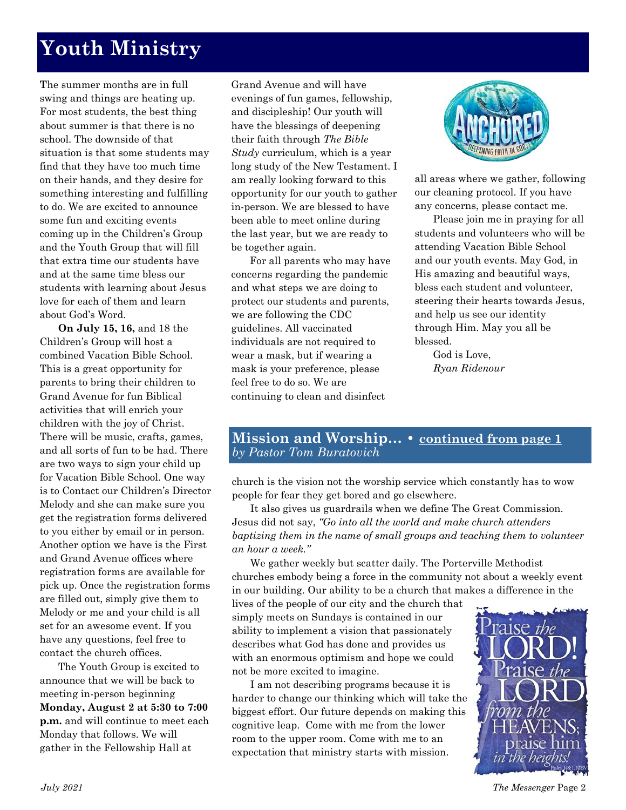# **Youth Ministry**

**T**he summer months are in full swing and things are heating up. For most students, the best thing about summer is that there is no school. The downside of that situation is that some students may find that they have too much time on their hands, and they desire for something interesting and fulfilling to do. We are excited to announce some fun and exciting events coming up in the Children's Group and the Youth Group that will fill that extra time our students have and at the same time bless our students with learning about Jesus love for each of them and learn about God's Word.

**On July 15, 16,** and 18 the Children's Group will host a combined Vacation Bible School. This is a great opportunity for parents to bring their children to Grand Avenue for fun Biblical activities that will enrich your children with the joy of Christ. There will be music, crafts, games, and all sorts of fun to be had. There are two ways to sign your child up for Vacation Bible School. One way is to Contact our Children's Director Melody and she can make sure you get the registration forms delivered to you either by email or in person. Another option we have is the First and Grand Avenue offices where registration forms are available for pick up. Once the registration forms are filled out, simply give them to Melody or me and your child is all set for an awesome event. If you have any questions, feel free to contact the church offices.

The Youth Group is excited to announce that we will be back to meeting in-person beginning **Monday, August 2 at 5:30 to 7:00 p.m.** and will continue to meet each Monday that follows. We will gather in the Fellowship Hall at

Grand Avenue and will have evenings of fun games, fellowship, and discipleship! Our youth will have the blessings of deepening their faith through *The Bible Study* curriculum, which is a year long study of the New Testament. I am really looking forward to this opportunity for our youth to gather in-person. We are blessed to have been able to meet online during the last year, but we are ready to be together again.

For all parents who may have concerns regarding the pandemic and what steps we are doing to protect our students and parents, we are following the CDC guidelines. All vaccinated individuals are not required to wear a mask, but if wearing a mask is your preference, please feel free to do so. We are continuing to clean and disinfect



all areas where we gather, following our cleaning protocol. If you have any concerns, please contact me.

Please join me in praying for all students and volunteers who will be attending Vacation Bible School and our youth events. May God, in His amazing and beautiful ways, bless each student and volunteer, steering their hearts towards Jesus, and help us see our identity through Him. May you all be blessed.

God is Love, *Ryan Ridenour*

### **Mission and Worship… • continued from page 1** *by Pastor Tom Buratovich*

church is the vision not the worship service which constantly has to wow people for fear they get bored and go elsewhere.

It also gives us guardrails when we define The Great Commission. Jesus did not say, *"Go into all the world and make church attenders baptizing them in the name of small groups and teaching them to volunteer an hour a week."*

We gather weekly but scatter daily. The Porterville Methodist churches embody being a force in the community not about a weekly event in our building. Our ability to be a church that makes a difference in the lives of the people of our city and the church that

simply meets on Sundays is contained in our ability to implement a vision that passionately describes what God has done and provides us with an enormous optimism and hope we could not be more excited to imagine.

I am not describing programs because it is harder to change our thinking which will take the biggest effort. Our future depends on making this cognitive leap. Come with me from the lower room to the upper room. Come with me to an expectation that ministry starts with mission.

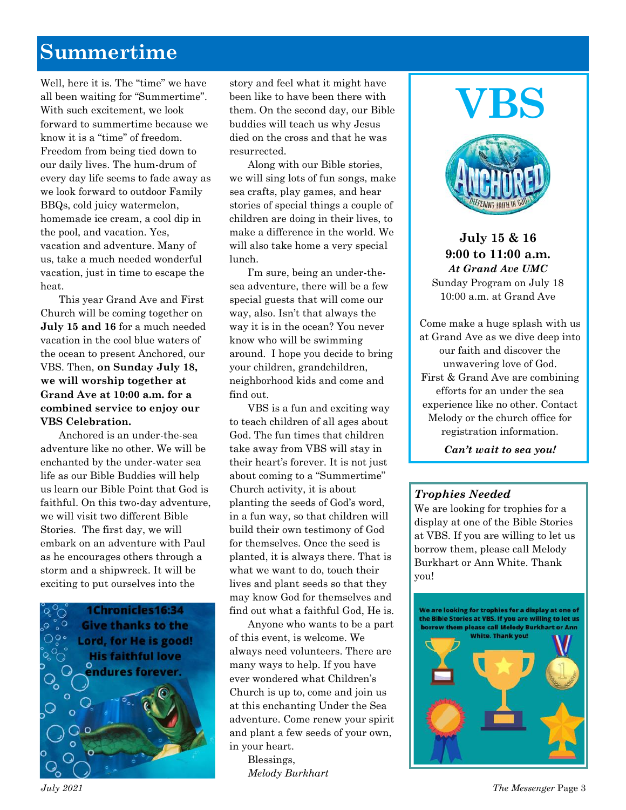# **Summertime**

Well, here it is. The "time" we have all been waiting for "Summertime". With such excitement, we look forward to summertime because we know it is a "time" of freedom. Freedom from being tied down to our daily lives. The hum-drum of every day life seems to fade away as we look forward to outdoor Family BBQs, cold juicy watermelon, homemade ice cream, a cool dip in the pool, and vacation. Yes, vacation and adventure. Many of us, take a much needed wonderful vacation, just in time to escape the heat.

This year Grand Ave and First Church will be coming together on **July 15 and 16** for a much needed vacation in the cool blue waters of the ocean to present Anchored, our VBS. Then, **on Sunday July 18, we will worship together at Grand Ave at 10:00 a.m. for a combined service to enjoy our VBS Celebration.**

Anchored is an under-the-sea adventure like no other. We will be enchanted by the under-water sea life as our Bible Buddies will help us learn our Bible Point that God is faithful. On this two-day adventure, we will visit two different Bible Stories. The first day, we will embark on an adventure with Paul as he encourages others through a storm and a shipwreck. It will be exciting to put ourselves into the



story and feel what it might have been like to have been there with them. On the second day, our Bible buddies will teach us why Jesus died on the cross and that he was resurrected.

Along with our Bible stories, we will sing lots of fun songs, make sea crafts, play games, and hear stories of special things a couple of children are doing in their lives, to make a difference in the world. We will also take home a very special lunch.

I'm sure, being an under-thesea adventure, there will be a few special guests that will come our way, also. Isn't that always the way it is in the ocean? You never know who will be swimming around. I hope you decide to bring your children, grandchildren, neighborhood kids and come and find out.

VBS is a fun and exciting way to teach children of all ages about God. The fun times that children take away from VBS will stay in their heart's forever. It is not just about coming to a "Summertime" Church activity, it is about planting the seeds of God's word, in a fun way, so that children will build their own testimony of God for themselves. Once the seed is planted, it is always there. That is what we want to do, touch their lives and plant seeds so that they may know God for themselves and find out what a faithful God, He is.

Anyone who wants to be a part of this event, is welcome. We always need volunteers. There are many ways to help. If you have ever wondered what Children's Church is up to, come and join us at this enchanting Under the Sea adventure. Come renew your spirit and plant a few seeds of your own, in your heart.

> Blessings, *Melody Burkhart*

# **VBS**



**July 15 & 16 9:00 to 11:00 a.m.** *At Grand Ave UMC* Sunday Program on July 18 10:00 a.m. at Grand Ave

Come make a huge splash with us at Grand Ave as we dive deep into our faith and discover the unwavering love of God. First & Grand Ave are combining efforts for an under the sea experience like no other. Contact Melody or the church office for registration information.

*Can't wait to sea you!* 

#### *Trophies Needed*

We are looking for trophies for a display at one of the Bible Stories at VBS. If you are willing to let us borrow them, please call Melody Burkhart or Ann White. Thank you!

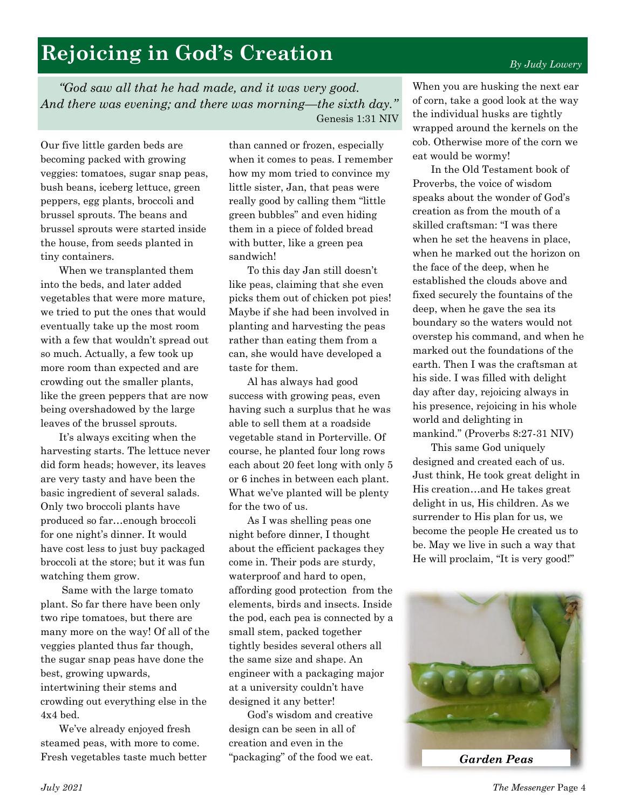#### eat would be wormy! In the Old Testament book of

Proverbs, the voice of wisdom speaks about the wonder of God's creation as from the mouth of a skilled craftsman: "I was there when he set the heavens in place, when he marked out the horizon on the face of the deep, when he established the clouds above and fixed securely the fountains of the deep, when he gave the sea its boundary so the waters would not overstep his command, and when he marked out the foundations of the earth. Then I was the craftsman at his side. I was filled with delight day after day, rejoicing always in his presence, rejoicing in his whole world and delighting in mankind." (Proverbs 8:27-31 NIV)

When you are husking the next ear of corn, take a good look at the way the individual husks are tightly wrapped around the kernels on the cob. Otherwise more of the corn we

This same God uniquely designed and created each of us. Just think, He took great delight in His creation…and He takes great delight in us, His children. As we surrender to His plan for us, we become the people He created us to be. May we live in such a way that He will proclaim, "It is very good!"

# *By Judy Lowery*

**Rejoicing in God's Creation**

*"God saw all that he had made, and it was very good. And there was evening; and there was morning—the sixth day."*  Genesis 1:31 NIV

Our five little garden beds are becoming packed with growing veggies: tomatoes, sugar snap peas, bush beans, iceberg lettuce, green peppers, egg plants, broccoli and brussel sprouts. The beans and brussel sprouts were started inside the house, from seeds planted in tiny containers.

When we transplanted them into the beds, and later added vegetables that were more mature, we tried to put the ones that would eventually take up the most room with a few that wouldn't spread out so much. Actually, a few took up more room than expected and are crowding out the smaller plants, like the green peppers that are now being overshadowed by the large leaves of the brussel sprouts.

It's always exciting when the harvesting starts. The lettuce never did form heads; however, its leaves are very tasty and have been the basic ingredient of several salads. Only two broccoli plants have produced so far…enough broccoli for one night's dinner. It would have cost less to just buy packaged broccoli at the store; but it was fun watching them grow.

Same with the large tomato plant. So far there have been only two ripe tomatoes, but there are many more on the way! Of all of the veggies planted thus far though, the sugar snap peas have done the best, growing upwards, intertwining their stems and crowding out everything else in the 4x4 bed.

We've already enjoyed fresh steamed peas, with more to come. Fresh vegetables taste much better

than canned or frozen, especially when it comes to peas. I remember how my mom tried to convince my little sister, Jan, that peas were really good by calling them "little green bubbles" and even hiding them in a piece of folded bread with butter, like a green pea sandwich!

To this day Jan still doesn't like peas, claiming that she even picks them out of chicken pot pies! Maybe if she had been involved in planting and harvesting the peas rather than eating them from a can, she would have developed a taste for them.

Al has always had good success with growing peas, even having such a surplus that he was able to sell them at a roadside vegetable stand in Porterville. Of course, he planted four long rows each about 20 feet long with only 5 or 6 inches in between each plant. What we've planted will be plenty for the two of us.

As I was shelling peas one night before dinner, I thought about the efficient packages they come in. Their pods are sturdy, waterproof and hard to open, affording good protection from the elements, birds and insects. Inside the pod, each pea is connected by a small stem, packed together tightly besides several others all the same size and shape. An engineer with a packaging major at a university couldn't have designed it any better!

God's wisdom and creative design can be seen in all of creation and even in the "packaging" of the food we eat.

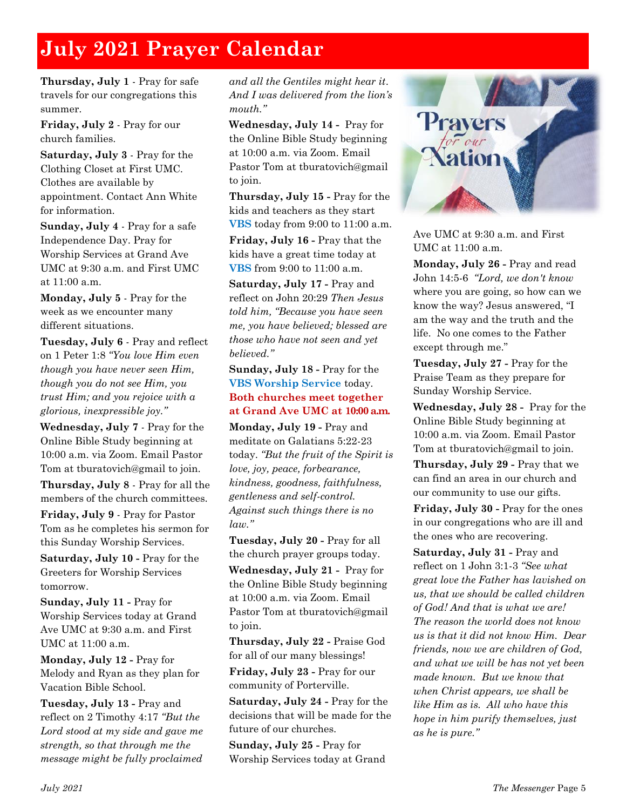# **July 2021 Prayer Calendar**

**Thursday, July 1** - Pray for safe travels for our congregations this summer.

**Friday, July 2** - Pray for our church families.

**Saturday, July 3** - Pray for the Clothing Closet at First UMC. Clothes are available by appointment. Contact Ann White for information.

**Sunday, July 4** - Pray for a safe Independence Day. Pray for Worship Services at Grand Ave UMC at 9:30 a.m. and First UMC at 11:00 a.m.

**Monday, July 5** - Pray for the week as we encounter many different situations.

**Tuesday, July 6** - Pray and reflect on 1 Peter 1:8 *"You love Him even though you have never seen Him, though you do not see Him, you trust Him; and you rejoice with a glorious, inexpressible joy."*

**Wednesday, July 7** - Pray for the Online Bible Study beginning at 10:00 a.m. via Zoom. Email Pastor Tom at tburatovich@gmail to join.

**Thursday, July 8** - Pray for all the members of the church committees.

**Friday, July 9** - Pray for Pastor Tom as he completes his sermon for this Sunday Worship Services.

**Saturday, July 10 -** Pray for the Greeters for Worship Services tomorrow.

**Sunday, July 11 -** Pray for Worship Services today at Grand Ave UMC at 9:30 a.m. and First UMC at 11:00 a.m.

**Monday, July 12 -** Pray for Melody and Ryan as they plan for Vacation Bible School.

**Tuesday, July 13 -** Pray and reflect on 2 Timothy 4:17 *"But the Lord stood at my side and gave me strength, so that through me the message might be fully proclaimed* 

*and all the Gentiles might hear it*. *And I was delivered from the lion's mouth."*

**Wednesday, July 14 -** Pray for the Online Bible Study beginning at 10:00 a.m. via Zoom. Email Pastor Tom at tburatovich@gmail to join.

**Thursday, July 15 -** Pray for the kids and teachers as they start **VBS** today from 9:00 to 11:00 a.m.

**Friday, July 16 -** Pray that the kids have a great time today at **VBS** from 9:00 to 11:00 a.m.

**Saturday, July 17 -** Pray and reflect on John 20:29 *Then Jesus told him, "Because you have seen me, you have believed; blessed are those who have not seen and yet believed."*

#### **Sunday, July 18 -** Pray for the **VBS Worship Service** today. **Both churches meet together at Grand Ave UMC at 10:00 a.m.**

**Monday, July 19 -** Pray and meditate on Galatians 5:22-23 today. *"But the fruit of the Spirit is love, joy, peace, forbearance, kindness, goodness, faithfulness, gentleness and self-control. Against such things there is no law."*

**Tuesday, July 20 -** Pray for all the church prayer groups today.

**Wednesday, July 21 -** Pray for the Online Bible Study beginning at 10:00 a.m. via Zoom. Email Pastor Tom at tburatovich@gmail to join.

**Thursday, July 22 -** Praise God for all of our many blessings!

**Friday, July 23 -** Pray for our community of Porterville.

**Saturday, July 24 -** Pray for the decisions that will be made for the future of our churches.

**Sunday, July 25 -** Pray for Worship Services today at Grand



Ave UMC at 9:30 a.m. and First UMC at 11:00 a.m.

**Monday, July 26 -** Pray and read John 14:5-6 *"Lord, we don't know*  where you are going, so how can we know the way? Jesus answered, "I am the way and the truth and the life. No one comes to the Father except through me."

**Tuesday, July 27 -** Pray for the Praise Team as they prepare for Sunday Worship Service.

**Wednesday, July 28 -** Pray for the Online Bible Study beginning at 10:00 a.m. via Zoom. Email Pastor Tom at tburatovich@gmail to join.

**Thursday, July 29 -** Pray that we can find an area in our church and our community to use our gifts.

**Friday, July 30 -** Pray for the ones in our congregations who are ill and the ones who are recovering.

**Saturday, July 31 -** Pray and reflect on 1 John 3:1-3 *"See what great love the Father has lavished on us, that we should be called children of God! And that is what we are! The reason the world does not know us is that it did not know Him. Dear friends, now we are children of God, and what we will be has not yet been made known. But we know that when Christ appears, we shall be like Him as is. All who have this hope in him purify themselves, just as he is pure."*